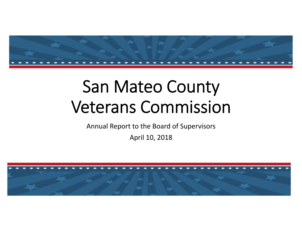

# San Mateo County Veterans Commission

Annual Report to the Board of Supervisors

April 10, 2018

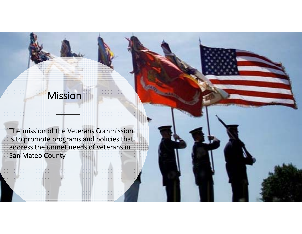# Mission

The mission of the Veterans Commission is to promote programs and policies that address the unmet needs of veterans in San Mateo County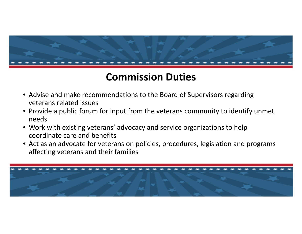

## **Commission Duties**

- Advise and make recommendations to the Board of Supervisors regarding veterans related issues
- Provide <sup>a</sup> public forum for input from the veterans community to identify unmet needs
- Work with existing veterans' advocacy and service organizations to help coordinate care and benefits
- Act as an advocate for veterans on policies, procedures, legislation and programs affecting veterans and their families

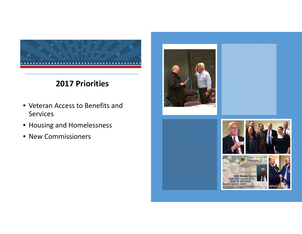

#### **2017 Priorities**

- Veteran Access to Benefits and Services
- Housing and Homelessness
- New Commissioners



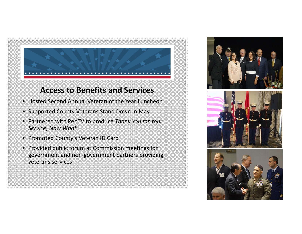

#### **Access to Benefits and Services**

- Hosted Second Annual Veteran of the Year Luncheon
- Supported County Veterans Stand Down in May
- Partnered with PenTV to produce *Thank You for Your Service, Now What*
- Promoted County's Veteran ID Card
- Provided public forum at Commission meetings for government and non‐government partners providing veterans services





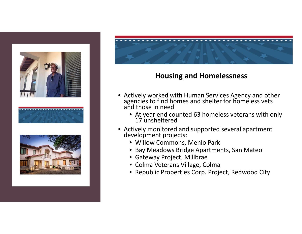



#### **Housing and Homelessness**

- Actively worked with Human Services Agency and other agencies to find homes and shelter for homeless vets<br>and those in need
	- At year end counted 63 homeless veterans with only 17 unsheltered
- Actively monitored and supported several apartment development projects:
	- Willow Commons, Menlo Park
	- Bay Meadows Bridge Apartments, San Mateo
	- Gateway Project, Millbrae
	- Colma Veterans Village, Colma
	- Republic Properties Corp. Project, Redwood City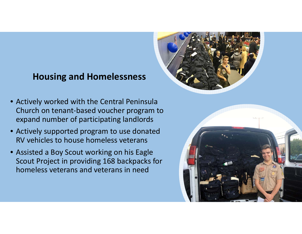## **Housing and Homelessness**



- Actively worked with the Central Peninsula Church on tenant‐based voucher program to expand number of participating landlords
- Actively supported program to use donated RV vehicles to house homeless veterans
- Assisted <sup>a</sup> Boy Scout working on his Eagle Scout Project in providing 168 backpacks for homeless veterans and veterans in need

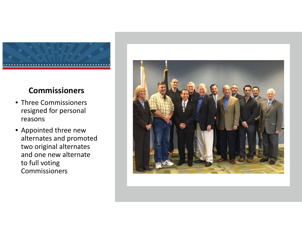

#### **Commissioners**

- Three Commissioners resigned for personal reasons
- Appointed three new alternates and promoted two original alternates and one new alternate to full voting **Commissioners**

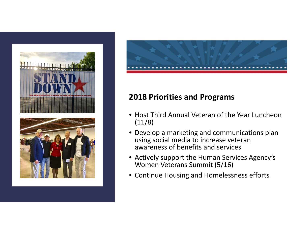



### **2018 Priorities and Programs**

- Host Third Annual Veteran of the Year Luncheon (11/8)
- Develop <sup>a</sup> marketing and communications plan using social media to increase veteran awareness of benefits and services
- Actively support the Human Services Agency's Women Veterans Summit (5/16)
- Continue Housing and Homelessness efforts